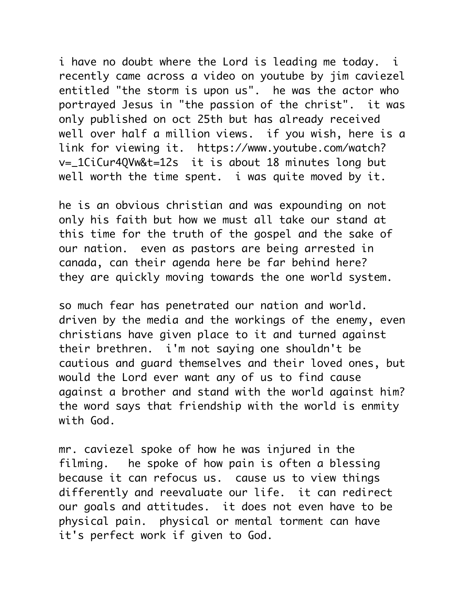i have no doubt where the Lord is leading me today. i recently came across a video on youtube by jim caviezel entitled "the storm is upon us". he was the actor who portrayed Jesus in "the passion of the christ". it was only published on oct 25th but has already received well over half a million views. if you wish, here is a link for viewing it. https://www.youtube.com/watch? v=\_1CiCur4QVw&t=12s it is about 18 minutes long but well worth the time spent. i was quite moved by it.

he is an obvious christian and was expounding on not only his faith but how we must all take our stand at this time for the truth of the gospel and the sake of our nation. even as pastors are being arrested in canada, can their agenda here be far behind here? they are quickly moving towards the one world system.

so much fear has penetrated our nation and world. driven by the media and the workings of the enemy, even christians have given place to it and turned against their brethren. i'm not saying one shouldn't be cautious and guard themselves and their loved ones, but would the Lord ever want any of us to find cause against a brother and stand with the world against him? the word says that friendship with the world is enmity with God.

mr. caviezel spoke of how he was injured in the filming. he spoke of how pain is often a blessing because it can refocus us. cause us to view things differently and reevaluate our life. it can redirect our goals and attitudes. it does not even have to be physical pain. physical or mental torment can have it's perfect work if given to God.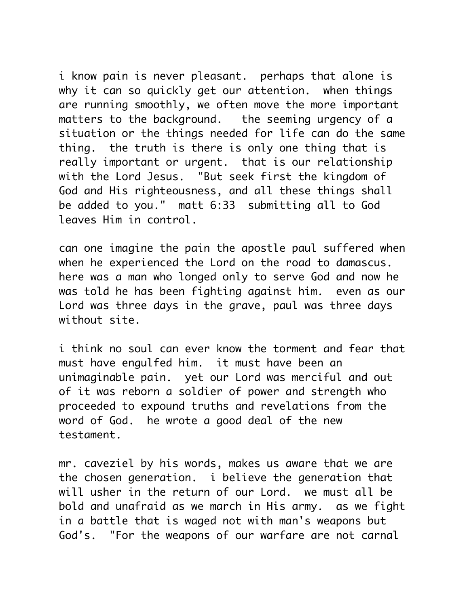i know pain is never pleasant. perhaps that alone is why it can so quickly get our attention. when things are running smoothly, we often move the more important matters to the background. the seeming urgency of a situation or the things needed for life can do the same thing. the truth is there is only one thing that is really important or urgent. that is our relationship with the Lord Jesus. "But seek first the kingdom of God and His righteousness, and all these things shall be added to you." matt 6:33 submitting all to God leaves Him in control.

can one imagine the pain the apostle paul suffered when when he experienced the Lord on the road to damascus. here was a man who longed only to serve God and now he was told he has been fighting against him. even as our Lord was three days in the grave, paul was three days without site.

i think no soul can ever know the torment and fear that must have engulfed him. it must have been an unimaginable pain. yet our Lord was merciful and out of it was reborn a soldier of power and strength who proceeded to expound truths and revelations from the word of God. he wrote a good deal of the new testament.

mr. caveziel by his words, makes us aware that we are the chosen generation. i believe the generation that will usher in the return of our Lord. we must all be bold and unafraid as we march in His army. as we fight in a battle that is waged not with man's weapons but God's. "For the weapons of our warfare are not carnal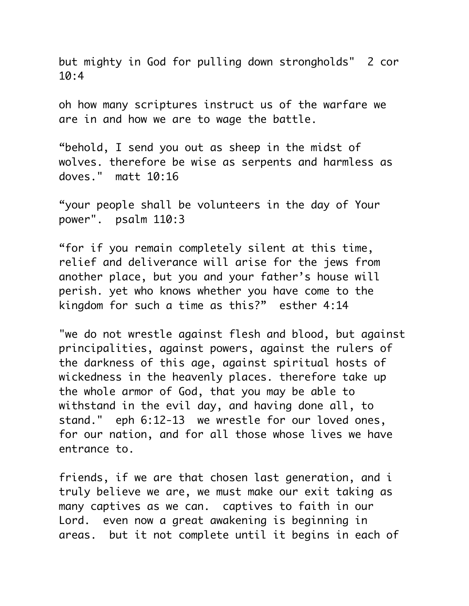but mighty in God for pulling down strongholds" 2 cor 10:4

oh how many scriptures instruct us of the warfare we are in and how we are to wage the battle.

"behold, I send you out as sheep in the midst of wolves. therefore be wise as serpents and harmless as doves." matt 10:16

"your people shall be volunteers in the day of Your power". psalm 110:3

"for if you remain completely silent at this time, relief and deliverance will arise for the jews from another place, but you and your father's house will perish. yet who knows whether you have come to the kingdom for such a time as this?" esther 4:14

"we do not wrestle against flesh and blood, but against principalities, against powers, against the rulers of the darkness of this age, against spiritual hosts of wickedness in the heavenly places. therefore take up the whole armor of God, that you may be able to withstand in the evil day, and having done all, to stand." eph 6:12-13 we wrestle for our loved ones, for our nation, and for all those whose lives we have entrance to.

friends, if we are that chosen last generation, and i truly believe we are, we must make our exit taking as many captives as we can. captives to faith in our Lord. even now a great awakening is beginning in areas. but it not complete until it begins in each of